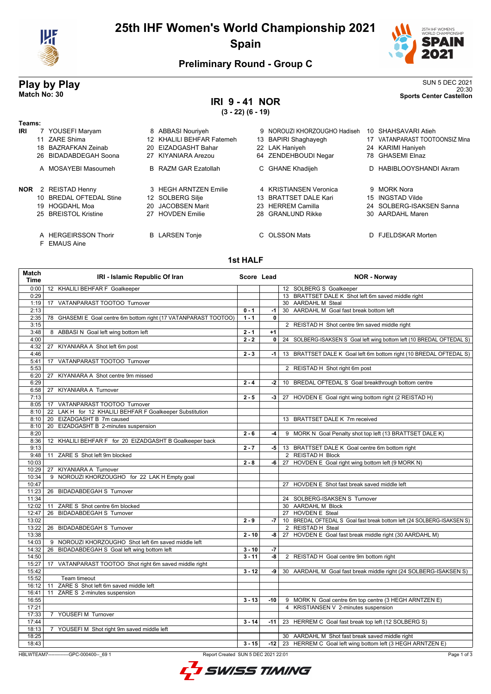

# 25th IHF Women's World Championship 2021 Spain



**SUN 5 DEC 2021** Sports Center Castellon

### **Preliminary Round - Group C**

# Play by Play<br>Match No: 30

# **IRI 9-41 NOR**

 $(3 - 22) (6 - 19)$ 

| Teams:<br>IRI | 18<br>26. | 7 YOUSEFI Maryam<br>11 ZARE Shima<br>BAZRAFKAN Zeinab<br>BIDADABDEGAH Soona<br>A MOSAYEBI Masoumeh | 20. | 8 ABBASI Nouriyeh<br>12 KHALILI BEHFAR Fatemeh<br>EIZADGASHT Bahar<br>27 KIYANIARA Arezou<br><b>B</b> RAZM GAR Ezatollah | 64 | 9 NOROUZI KHORZOUGHO Hadiseh<br>13 BAPIRI Shaghayegh<br>22 LAK Haniyeh<br>ZENDEHBOUDI Negar<br>C GHANE Khadijeh | 10 SHAHSAVARI Atieh<br>17 VATANPARAST TOOTOONSIZ Mina<br>24 KARIMI Haniyeh<br>78 GHASEMI Elnaz<br>D HABIBLOOYSHANDI Akram |
|---------------|-----------|----------------------------------------------------------------------------------------------------|-----|--------------------------------------------------------------------------------------------------------------------------|----|-----------------------------------------------------------------------------------------------------------------|---------------------------------------------------------------------------------------------------------------------------|
| NOR           | 10.       | 2 REISTAD Henny<br><b>BREDAL OFTEDAL Stine</b><br>19 HOGDAHL Moa<br>25 BREISTOL Kristine           |     | 3 HEGH ARNTZEN Emilie<br>12 SOLBERG Silje<br>20 JACOBSEN Marit<br>27 HOVDEN Emilie                                       |    | 4 KRISTIANSEN Veronica<br>13 BRATTSET DALE Kari<br>23 HERREM Camilla<br>28 GRANLUND Rikke                       | 9 MORK Nora<br>15 INGSTAD Vilde<br>24 SOLBERG-ISAKSEN Sanna<br>30 AARDAHL Maren                                           |
|               |           | A HERGEIRSSON Thorir<br>F EMAUS Aine                                                               |     | <b>B</b> LARSEN Tonje                                                                                                    |    | C OLSSON Mats                                                                                                   | D FJELDSKAR Morten                                                                                                        |

### 1st HALF

| 12 KHALILI BEHFAR F Goalkeeper<br>0:00<br>12 SOLBERG S Goalkeeper<br>13 BRATTSET DALE K Shot left 6m saved middle right<br>0:29<br>VATANPARAST TOOTOO Turnover<br>30 AARDAHL M Steal<br>1:19<br>17<br>30 AARDAHL M Goal fast break bottom left<br>2:13<br>$0 - 1$<br>-1<br>$1 - 1$<br>2:35<br>GHASEMI E Goal centre 6m bottom right (17 VATANPARAST TOOTOO)<br>0<br>78<br>3:15<br>2 REISTAD H Shot centre 9m saved middle right<br>3:48<br>8 ABBASI N Goal left wing bottom left<br>$2 - 1$<br>$+1$<br>4:00<br>$2 - 2$<br>0<br>24 SOLBERG-ISAKSEN S Goal left wing bottom left (10 BREDAL OFTEDAL S)<br>KIYANIARA A Shot left 6m post<br>4:32<br>27<br>$2 - 3$<br>4:46<br>13 BRATTSET DALE K Goal left 6m bottom right (10 BREDAL OFTEDAL S)<br>$-1$<br>5:41<br>17 VATANPARAST TOOTOO Turnover<br>5:53<br>2 REISTAD H Shot right 6m post<br>6:20<br>KIYANIARA A Shot centre 9m missed<br>27<br>6:29<br>$2 - 4$<br>10 BREDAL OFTEDAL S Goal breakthrough bottom centre<br>-2<br><b>KIYANIARA A Turnover</b><br>6:58<br>27<br>7:13<br>$2 - 5$<br>27 HOVDEN E Goal right wing bottom right (2 REISTAD H)<br>$-3$<br>17 VATANPARAST TOOTOO Turnover<br>8:05<br>LAK H for 12 KHALILI BEHFAR F Goalkeeper Substitution<br>8:10<br>22<br>20 EIZADGASHT B 7m caused<br>8:10<br>13 BRATTSET DALE K 7m received<br>EIZADGASHT B 2-minutes suspension<br>8:10<br>20<br>$2 - 6$<br>8:20<br>9 MORK N Goal Penalty shot top left (13 BRATTSET DALE K)<br>-4<br>KHALILI BEHFAR F for 20 EIZADGASHT B Goalkeeper back<br>8:36<br>12<br>9:13<br>$2 - 7$<br>13 BRATTSET DALE K Goal centre 6m bottom right<br>-5  <br>2 REISTAD H Block<br>9:48<br>ZARE S Shot left 9m blocked<br>11<br>10:03<br>$2 - 8$<br>-6   27 HOVDEN E Goal right wing bottom left (9 MORK N)<br>10:29<br>KIYANIARA A Turnover<br>27<br>9 NOROUZI KHORZOUGHO for 22 LAK H Empty goal<br>10:34<br>10:47<br>27 HOVDEN E Shot fast break saved middle left<br>11:23<br>26 BIDADABDEGAH S Turnover<br>11:34<br>24 SOLBERG-ISAKSEN S Turnover<br>12:02<br>ZARE S Shot centre 6m blocked<br>30 AARDAHL M Block<br>11<br><b>BIDADABDEGAH S Turnover</b><br>12:47<br>26<br>27 HOVDEN E Steal<br>10 BREDAL OFTEDAL S Goal fast break bottom left (24 SOLBERG-ISAKSEN S)<br>13:02<br>$2 - 9$<br>-7<br>13:22<br><b>BIDADABDEGAH S Turnover</b><br>2 REISTAD H Steal<br>26<br>$2 - 10$<br>27 HOVDEN E Goal fast break middle right (30 AARDAHL M)<br>13:38<br>-8  <br>14:03<br>9 NOROUZI KHORZOUGHO Shot left 6m saved middle left<br>14:32<br>BIDADABDEGAH S Goal left wing bottom left<br>$3 - 10$<br>$-7$<br>26<br>14:50<br>$3 - 11$<br>$-8$<br>2 REISTAD H Goal centre 9m bottom right<br>15:27<br>17 VATANPARAST TOOTOO Shot right 6m saved middle right<br>$3 - 12$<br>15:42<br>30 AARDAHL M Goal fast break middle right (24 SOLBERG-ISAKSEN S)<br>-9<br>15:52<br>Team timeout<br>ZARE S Shot left 6m saved middle left<br>16:12<br>11<br>16:41<br>ZARE S 2-minutes suspension<br>11<br>16:55<br>$3 - 13$<br>9 MORK N Goal centre 6m top centre (3 HEGH ARNTZEN E)<br>$-10$<br>17:21<br>4 KRISTIANSEN V 2-minutes suspension<br>17:33<br>7 YOUSEFIM Turnover<br>17:44<br>$3 - 14$<br>23 HERREM C Goal fast break top left (12 SOLBERG S)<br>$-11$<br>18:13<br>7 YOUSEFI M Shot right 9m saved middle left | <b>Match</b><br><b>Time</b> | IRI - Islamic Republic Of Iran | Score Lead | <b>NOR - Norway</b>                             |
|----------------------------------------------------------------------------------------------------------------------------------------------------------------------------------------------------------------------------------------------------------------------------------------------------------------------------------------------------------------------------------------------------------------------------------------------------------------------------------------------------------------------------------------------------------------------------------------------------------------------------------------------------------------------------------------------------------------------------------------------------------------------------------------------------------------------------------------------------------------------------------------------------------------------------------------------------------------------------------------------------------------------------------------------------------------------------------------------------------------------------------------------------------------------------------------------------------------------------------------------------------------------------------------------------------------------------------------------------------------------------------------------------------------------------------------------------------------------------------------------------------------------------------------------------------------------------------------------------------------------------------------------------------------------------------------------------------------------------------------------------------------------------------------------------------------------------------------------------------------------------------------------------------------------------------------------------------------------------------------------------------------------------------------------------------------------------------------------------------------------------------------------------------------------------------------------------------------------------------------------------------------------------------------------------------------------------------------------------------------------------------------------------------------------------------------------------------------------------------------------------------------------------------------------------------------------------------------------------------------------------------------------------------------------------------------------------------------------------------------------------------------------------------------------------------------------------------------------------------------------------------------------------------------------------------------------------------------------------------------------------------------------------------------------------------------------------------------------------------------------------------------------------------------------------------------------------------------------------------------------------------|-----------------------------|--------------------------------|------------|-------------------------------------------------|
|                                                                                                                                                                                                                                                                                                                                                                                                                                                                                                                                                                                                                                                                                                                                                                                                                                                                                                                                                                                                                                                                                                                                                                                                                                                                                                                                                                                                                                                                                                                                                                                                                                                                                                                                                                                                                                                                                                                                                                                                                                                                                                                                                                                                                                                                                                                                                                                                                                                                                                                                                                                                                                                                                                                                                                                                                                                                                                                                                                                                                                                                                                                                                                                                                                                          |                             |                                |            |                                                 |
|                                                                                                                                                                                                                                                                                                                                                                                                                                                                                                                                                                                                                                                                                                                                                                                                                                                                                                                                                                                                                                                                                                                                                                                                                                                                                                                                                                                                                                                                                                                                                                                                                                                                                                                                                                                                                                                                                                                                                                                                                                                                                                                                                                                                                                                                                                                                                                                                                                                                                                                                                                                                                                                                                                                                                                                                                                                                                                                                                                                                                                                                                                                                                                                                                                                          |                             |                                |            |                                                 |
|                                                                                                                                                                                                                                                                                                                                                                                                                                                                                                                                                                                                                                                                                                                                                                                                                                                                                                                                                                                                                                                                                                                                                                                                                                                                                                                                                                                                                                                                                                                                                                                                                                                                                                                                                                                                                                                                                                                                                                                                                                                                                                                                                                                                                                                                                                                                                                                                                                                                                                                                                                                                                                                                                                                                                                                                                                                                                                                                                                                                                                                                                                                                                                                                                                                          |                             |                                |            |                                                 |
|                                                                                                                                                                                                                                                                                                                                                                                                                                                                                                                                                                                                                                                                                                                                                                                                                                                                                                                                                                                                                                                                                                                                                                                                                                                                                                                                                                                                                                                                                                                                                                                                                                                                                                                                                                                                                                                                                                                                                                                                                                                                                                                                                                                                                                                                                                                                                                                                                                                                                                                                                                                                                                                                                                                                                                                                                                                                                                                                                                                                                                                                                                                                                                                                                                                          |                             |                                |            |                                                 |
|                                                                                                                                                                                                                                                                                                                                                                                                                                                                                                                                                                                                                                                                                                                                                                                                                                                                                                                                                                                                                                                                                                                                                                                                                                                                                                                                                                                                                                                                                                                                                                                                                                                                                                                                                                                                                                                                                                                                                                                                                                                                                                                                                                                                                                                                                                                                                                                                                                                                                                                                                                                                                                                                                                                                                                                                                                                                                                                                                                                                                                                                                                                                                                                                                                                          |                             |                                |            |                                                 |
|                                                                                                                                                                                                                                                                                                                                                                                                                                                                                                                                                                                                                                                                                                                                                                                                                                                                                                                                                                                                                                                                                                                                                                                                                                                                                                                                                                                                                                                                                                                                                                                                                                                                                                                                                                                                                                                                                                                                                                                                                                                                                                                                                                                                                                                                                                                                                                                                                                                                                                                                                                                                                                                                                                                                                                                                                                                                                                                                                                                                                                                                                                                                                                                                                                                          |                             |                                |            |                                                 |
|                                                                                                                                                                                                                                                                                                                                                                                                                                                                                                                                                                                                                                                                                                                                                                                                                                                                                                                                                                                                                                                                                                                                                                                                                                                                                                                                                                                                                                                                                                                                                                                                                                                                                                                                                                                                                                                                                                                                                                                                                                                                                                                                                                                                                                                                                                                                                                                                                                                                                                                                                                                                                                                                                                                                                                                                                                                                                                                                                                                                                                                                                                                                                                                                                                                          |                             |                                |            |                                                 |
|                                                                                                                                                                                                                                                                                                                                                                                                                                                                                                                                                                                                                                                                                                                                                                                                                                                                                                                                                                                                                                                                                                                                                                                                                                                                                                                                                                                                                                                                                                                                                                                                                                                                                                                                                                                                                                                                                                                                                                                                                                                                                                                                                                                                                                                                                                                                                                                                                                                                                                                                                                                                                                                                                                                                                                                                                                                                                                                                                                                                                                                                                                                                                                                                                                                          |                             |                                |            |                                                 |
|                                                                                                                                                                                                                                                                                                                                                                                                                                                                                                                                                                                                                                                                                                                                                                                                                                                                                                                                                                                                                                                                                                                                                                                                                                                                                                                                                                                                                                                                                                                                                                                                                                                                                                                                                                                                                                                                                                                                                                                                                                                                                                                                                                                                                                                                                                                                                                                                                                                                                                                                                                                                                                                                                                                                                                                                                                                                                                                                                                                                                                                                                                                                                                                                                                                          |                             |                                |            |                                                 |
|                                                                                                                                                                                                                                                                                                                                                                                                                                                                                                                                                                                                                                                                                                                                                                                                                                                                                                                                                                                                                                                                                                                                                                                                                                                                                                                                                                                                                                                                                                                                                                                                                                                                                                                                                                                                                                                                                                                                                                                                                                                                                                                                                                                                                                                                                                                                                                                                                                                                                                                                                                                                                                                                                                                                                                                                                                                                                                                                                                                                                                                                                                                                                                                                                                                          |                             |                                |            |                                                 |
|                                                                                                                                                                                                                                                                                                                                                                                                                                                                                                                                                                                                                                                                                                                                                                                                                                                                                                                                                                                                                                                                                                                                                                                                                                                                                                                                                                                                                                                                                                                                                                                                                                                                                                                                                                                                                                                                                                                                                                                                                                                                                                                                                                                                                                                                                                                                                                                                                                                                                                                                                                                                                                                                                                                                                                                                                                                                                                                                                                                                                                                                                                                                                                                                                                                          |                             |                                |            |                                                 |
|                                                                                                                                                                                                                                                                                                                                                                                                                                                                                                                                                                                                                                                                                                                                                                                                                                                                                                                                                                                                                                                                                                                                                                                                                                                                                                                                                                                                                                                                                                                                                                                                                                                                                                                                                                                                                                                                                                                                                                                                                                                                                                                                                                                                                                                                                                                                                                                                                                                                                                                                                                                                                                                                                                                                                                                                                                                                                                                                                                                                                                                                                                                                                                                                                                                          |                             |                                |            |                                                 |
|                                                                                                                                                                                                                                                                                                                                                                                                                                                                                                                                                                                                                                                                                                                                                                                                                                                                                                                                                                                                                                                                                                                                                                                                                                                                                                                                                                                                                                                                                                                                                                                                                                                                                                                                                                                                                                                                                                                                                                                                                                                                                                                                                                                                                                                                                                                                                                                                                                                                                                                                                                                                                                                                                                                                                                                                                                                                                                                                                                                                                                                                                                                                                                                                                                                          |                             |                                |            |                                                 |
|                                                                                                                                                                                                                                                                                                                                                                                                                                                                                                                                                                                                                                                                                                                                                                                                                                                                                                                                                                                                                                                                                                                                                                                                                                                                                                                                                                                                                                                                                                                                                                                                                                                                                                                                                                                                                                                                                                                                                                                                                                                                                                                                                                                                                                                                                                                                                                                                                                                                                                                                                                                                                                                                                                                                                                                                                                                                                                                                                                                                                                                                                                                                                                                                                                                          |                             |                                |            |                                                 |
|                                                                                                                                                                                                                                                                                                                                                                                                                                                                                                                                                                                                                                                                                                                                                                                                                                                                                                                                                                                                                                                                                                                                                                                                                                                                                                                                                                                                                                                                                                                                                                                                                                                                                                                                                                                                                                                                                                                                                                                                                                                                                                                                                                                                                                                                                                                                                                                                                                                                                                                                                                                                                                                                                                                                                                                                                                                                                                                                                                                                                                                                                                                                                                                                                                                          |                             |                                |            |                                                 |
|                                                                                                                                                                                                                                                                                                                                                                                                                                                                                                                                                                                                                                                                                                                                                                                                                                                                                                                                                                                                                                                                                                                                                                                                                                                                                                                                                                                                                                                                                                                                                                                                                                                                                                                                                                                                                                                                                                                                                                                                                                                                                                                                                                                                                                                                                                                                                                                                                                                                                                                                                                                                                                                                                                                                                                                                                                                                                                                                                                                                                                                                                                                                                                                                                                                          |                             |                                |            |                                                 |
|                                                                                                                                                                                                                                                                                                                                                                                                                                                                                                                                                                                                                                                                                                                                                                                                                                                                                                                                                                                                                                                                                                                                                                                                                                                                                                                                                                                                                                                                                                                                                                                                                                                                                                                                                                                                                                                                                                                                                                                                                                                                                                                                                                                                                                                                                                                                                                                                                                                                                                                                                                                                                                                                                                                                                                                                                                                                                                                                                                                                                                                                                                                                                                                                                                                          |                             |                                |            |                                                 |
|                                                                                                                                                                                                                                                                                                                                                                                                                                                                                                                                                                                                                                                                                                                                                                                                                                                                                                                                                                                                                                                                                                                                                                                                                                                                                                                                                                                                                                                                                                                                                                                                                                                                                                                                                                                                                                                                                                                                                                                                                                                                                                                                                                                                                                                                                                                                                                                                                                                                                                                                                                                                                                                                                                                                                                                                                                                                                                                                                                                                                                                                                                                                                                                                                                                          |                             |                                |            |                                                 |
|                                                                                                                                                                                                                                                                                                                                                                                                                                                                                                                                                                                                                                                                                                                                                                                                                                                                                                                                                                                                                                                                                                                                                                                                                                                                                                                                                                                                                                                                                                                                                                                                                                                                                                                                                                                                                                                                                                                                                                                                                                                                                                                                                                                                                                                                                                                                                                                                                                                                                                                                                                                                                                                                                                                                                                                                                                                                                                                                                                                                                                                                                                                                                                                                                                                          |                             |                                |            |                                                 |
|                                                                                                                                                                                                                                                                                                                                                                                                                                                                                                                                                                                                                                                                                                                                                                                                                                                                                                                                                                                                                                                                                                                                                                                                                                                                                                                                                                                                                                                                                                                                                                                                                                                                                                                                                                                                                                                                                                                                                                                                                                                                                                                                                                                                                                                                                                                                                                                                                                                                                                                                                                                                                                                                                                                                                                                                                                                                                                                                                                                                                                                                                                                                                                                                                                                          |                             |                                |            |                                                 |
|                                                                                                                                                                                                                                                                                                                                                                                                                                                                                                                                                                                                                                                                                                                                                                                                                                                                                                                                                                                                                                                                                                                                                                                                                                                                                                                                                                                                                                                                                                                                                                                                                                                                                                                                                                                                                                                                                                                                                                                                                                                                                                                                                                                                                                                                                                                                                                                                                                                                                                                                                                                                                                                                                                                                                                                                                                                                                                                                                                                                                                                                                                                                                                                                                                                          |                             |                                |            |                                                 |
|                                                                                                                                                                                                                                                                                                                                                                                                                                                                                                                                                                                                                                                                                                                                                                                                                                                                                                                                                                                                                                                                                                                                                                                                                                                                                                                                                                                                                                                                                                                                                                                                                                                                                                                                                                                                                                                                                                                                                                                                                                                                                                                                                                                                                                                                                                                                                                                                                                                                                                                                                                                                                                                                                                                                                                                                                                                                                                                                                                                                                                                                                                                                                                                                                                                          |                             |                                |            |                                                 |
|                                                                                                                                                                                                                                                                                                                                                                                                                                                                                                                                                                                                                                                                                                                                                                                                                                                                                                                                                                                                                                                                                                                                                                                                                                                                                                                                                                                                                                                                                                                                                                                                                                                                                                                                                                                                                                                                                                                                                                                                                                                                                                                                                                                                                                                                                                                                                                                                                                                                                                                                                                                                                                                                                                                                                                                                                                                                                                                                                                                                                                                                                                                                                                                                                                                          |                             |                                |            |                                                 |
|                                                                                                                                                                                                                                                                                                                                                                                                                                                                                                                                                                                                                                                                                                                                                                                                                                                                                                                                                                                                                                                                                                                                                                                                                                                                                                                                                                                                                                                                                                                                                                                                                                                                                                                                                                                                                                                                                                                                                                                                                                                                                                                                                                                                                                                                                                                                                                                                                                                                                                                                                                                                                                                                                                                                                                                                                                                                                                                                                                                                                                                                                                                                                                                                                                                          |                             |                                |            |                                                 |
|                                                                                                                                                                                                                                                                                                                                                                                                                                                                                                                                                                                                                                                                                                                                                                                                                                                                                                                                                                                                                                                                                                                                                                                                                                                                                                                                                                                                                                                                                                                                                                                                                                                                                                                                                                                                                                                                                                                                                                                                                                                                                                                                                                                                                                                                                                                                                                                                                                                                                                                                                                                                                                                                                                                                                                                                                                                                                                                                                                                                                                                                                                                                                                                                                                                          |                             |                                |            |                                                 |
|                                                                                                                                                                                                                                                                                                                                                                                                                                                                                                                                                                                                                                                                                                                                                                                                                                                                                                                                                                                                                                                                                                                                                                                                                                                                                                                                                                                                                                                                                                                                                                                                                                                                                                                                                                                                                                                                                                                                                                                                                                                                                                                                                                                                                                                                                                                                                                                                                                                                                                                                                                                                                                                                                                                                                                                                                                                                                                                                                                                                                                                                                                                                                                                                                                                          |                             |                                |            |                                                 |
|                                                                                                                                                                                                                                                                                                                                                                                                                                                                                                                                                                                                                                                                                                                                                                                                                                                                                                                                                                                                                                                                                                                                                                                                                                                                                                                                                                                                                                                                                                                                                                                                                                                                                                                                                                                                                                                                                                                                                                                                                                                                                                                                                                                                                                                                                                                                                                                                                                                                                                                                                                                                                                                                                                                                                                                                                                                                                                                                                                                                                                                                                                                                                                                                                                                          |                             |                                |            |                                                 |
|                                                                                                                                                                                                                                                                                                                                                                                                                                                                                                                                                                                                                                                                                                                                                                                                                                                                                                                                                                                                                                                                                                                                                                                                                                                                                                                                                                                                                                                                                                                                                                                                                                                                                                                                                                                                                                                                                                                                                                                                                                                                                                                                                                                                                                                                                                                                                                                                                                                                                                                                                                                                                                                                                                                                                                                                                                                                                                                                                                                                                                                                                                                                                                                                                                                          |                             |                                |            |                                                 |
|                                                                                                                                                                                                                                                                                                                                                                                                                                                                                                                                                                                                                                                                                                                                                                                                                                                                                                                                                                                                                                                                                                                                                                                                                                                                                                                                                                                                                                                                                                                                                                                                                                                                                                                                                                                                                                                                                                                                                                                                                                                                                                                                                                                                                                                                                                                                                                                                                                                                                                                                                                                                                                                                                                                                                                                                                                                                                                                                                                                                                                                                                                                                                                                                                                                          |                             |                                |            |                                                 |
|                                                                                                                                                                                                                                                                                                                                                                                                                                                                                                                                                                                                                                                                                                                                                                                                                                                                                                                                                                                                                                                                                                                                                                                                                                                                                                                                                                                                                                                                                                                                                                                                                                                                                                                                                                                                                                                                                                                                                                                                                                                                                                                                                                                                                                                                                                                                                                                                                                                                                                                                                                                                                                                                                                                                                                                                                                                                                                                                                                                                                                                                                                                                                                                                                                                          |                             |                                |            |                                                 |
|                                                                                                                                                                                                                                                                                                                                                                                                                                                                                                                                                                                                                                                                                                                                                                                                                                                                                                                                                                                                                                                                                                                                                                                                                                                                                                                                                                                                                                                                                                                                                                                                                                                                                                                                                                                                                                                                                                                                                                                                                                                                                                                                                                                                                                                                                                                                                                                                                                                                                                                                                                                                                                                                                                                                                                                                                                                                                                                                                                                                                                                                                                                                                                                                                                                          |                             |                                |            |                                                 |
|                                                                                                                                                                                                                                                                                                                                                                                                                                                                                                                                                                                                                                                                                                                                                                                                                                                                                                                                                                                                                                                                                                                                                                                                                                                                                                                                                                                                                                                                                                                                                                                                                                                                                                                                                                                                                                                                                                                                                                                                                                                                                                                                                                                                                                                                                                                                                                                                                                                                                                                                                                                                                                                                                                                                                                                                                                                                                                                                                                                                                                                                                                                                                                                                                                                          |                             |                                |            |                                                 |
|                                                                                                                                                                                                                                                                                                                                                                                                                                                                                                                                                                                                                                                                                                                                                                                                                                                                                                                                                                                                                                                                                                                                                                                                                                                                                                                                                                                                                                                                                                                                                                                                                                                                                                                                                                                                                                                                                                                                                                                                                                                                                                                                                                                                                                                                                                                                                                                                                                                                                                                                                                                                                                                                                                                                                                                                                                                                                                                                                                                                                                                                                                                                                                                                                                                          |                             |                                |            |                                                 |
|                                                                                                                                                                                                                                                                                                                                                                                                                                                                                                                                                                                                                                                                                                                                                                                                                                                                                                                                                                                                                                                                                                                                                                                                                                                                                                                                                                                                                                                                                                                                                                                                                                                                                                                                                                                                                                                                                                                                                                                                                                                                                                                                                                                                                                                                                                                                                                                                                                                                                                                                                                                                                                                                                                                                                                                                                                                                                                                                                                                                                                                                                                                                                                                                                                                          |                             |                                |            |                                                 |
|                                                                                                                                                                                                                                                                                                                                                                                                                                                                                                                                                                                                                                                                                                                                                                                                                                                                                                                                                                                                                                                                                                                                                                                                                                                                                                                                                                                                                                                                                                                                                                                                                                                                                                                                                                                                                                                                                                                                                                                                                                                                                                                                                                                                                                                                                                                                                                                                                                                                                                                                                                                                                                                                                                                                                                                                                                                                                                                                                                                                                                                                                                                                                                                                                                                          |                             |                                |            |                                                 |
|                                                                                                                                                                                                                                                                                                                                                                                                                                                                                                                                                                                                                                                                                                                                                                                                                                                                                                                                                                                                                                                                                                                                                                                                                                                                                                                                                                                                                                                                                                                                                                                                                                                                                                                                                                                                                                                                                                                                                                                                                                                                                                                                                                                                                                                                                                                                                                                                                                                                                                                                                                                                                                                                                                                                                                                                                                                                                                                                                                                                                                                                                                                                                                                                                                                          |                             |                                |            |                                                 |
|                                                                                                                                                                                                                                                                                                                                                                                                                                                                                                                                                                                                                                                                                                                                                                                                                                                                                                                                                                                                                                                                                                                                                                                                                                                                                                                                                                                                                                                                                                                                                                                                                                                                                                                                                                                                                                                                                                                                                                                                                                                                                                                                                                                                                                                                                                                                                                                                                                                                                                                                                                                                                                                                                                                                                                                                                                                                                                                                                                                                                                                                                                                                                                                                                                                          |                             |                                |            |                                                 |
|                                                                                                                                                                                                                                                                                                                                                                                                                                                                                                                                                                                                                                                                                                                                                                                                                                                                                                                                                                                                                                                                                                                                                                                                                                                                                                                                                                                                                                                                                                                                                                                                                                                                                                                                                                                                                                                                                                                                                                                                                                                                                                                                                                                                                                                                                                                                                                                                                                                                                                                                                                                                                                                                                                                                                                                                                                                                                                                                                                                                                                                                                                                                                                                                                                                          |                             |                                |            |                                                 |
|                                                                                                                                                                                                                                                                                                                                                                                                                                                                                                                                                                                                                                                                                                                                                                                                                                                                                                                                                                                                                                                                                                                                                                                                                                                                                                                                                                                                                                                                                                                                                                                                                                                                                                                                                                                                                                                                                                                                                                                                                                                                                                                                                                                                                                                                                                                                                                                                                                                                                                                                                                                                                                                                                                                                                                                                                                                                                                                                                                                                                                                                                                                                                                                                                                                          |                             |                                |            |                                                 |
|                                                                                                                                                                                                                                                                                                                                                                                                                                                                                                                                                                                                                                                                                                                                                                                                                                                                                                                                                                                                                                                                                                                                                                                                                                                                                                                                                                                                                                                                                                                                                                                                                                                                                                                                                                                                                                                                                                                                                                                                                                                                                                                                                                                                                                                                                                                                                                                                                                                                                                                                                                                                                                                                                                                                                                                                                                                                                                                                                                                                                                                                                                                                                                                                                                                          |                             |                                |            |                                                 |
|                                                                                                                                                                                                                                                                                                                                                                                                                                                                                                                                                                                                                                                                                                                                                                                                                                                                                                                                                                                                                                                                                                                                                                                                                                                                                                                                                                                                                                                                                                                                                                                                                                                                                                                                                                                                                                                                                                                                                                                                                                                                                                                                                                                                                                                                                                                                                                                                                                                                                                                                                                                                                                                                                                                                                                                                                                                                                                                                                                                                                                                                                                                                                                                                                                                          |                             |                                |            |                                                 |
|                                                                                                                                                                                                                                                                                                                                                                                                                                                                                                                                                                                                                                                                                                                                                                                                                                                                                                                                                                                                                                                                                                                                                                                                                                                                                                                                                                                                                                                                                                                                                                                                                                                                                                                                                                                                                                                                                                                                                                                                                                                                                                                                                                                                                                                                                                                                                                                                                                                                                                                                                                                                                                                                                                                                                                                                                                                                                                                                                                                                                                                                                                                                                                                                                                                          |                             |                                |            |                                                 |
|                                                                                                                                                                                                                                                                                                                                                                                                                                                                                                                                                                                                                                                                                                                                                                                                                                                                                                                                                                                                                                                                                                                                                                                                                                                                                                                                                                                                                                                                                                                                                                                                                                                                                                                                                                                                                                                                                                                                                                                                                                                                                                                                                                                                                                                                                                                                                                                                                                                                                                                                                                                                                                                                                                                                                                                                                                                                                                                                                                                                                                                                                                                                                                                                                                                          |                             |                                |            |                                                 |
|                                                                                                                                                                                                                                                                                                                                                                                                                                                                                                                                                                                                                                                                                                                                                                                                                                                                                                                                                                                                                                                                                                                                                                                                                                                                                                                                                                                                                                                                                                                                                                                                                                                                                                                                                                                                                                                                                                                                                                                                                                                                                                                                                                                                                                                                                                                                                                                                                                                                                                                                                                                                                                                                                                                                                                                                                                                                                                                                                                                                                                                                                                                                                                                                                                                          |                             |                                |            |                                                 |
|                                                                                                                                                                                                                                                                                                                                                                                                                                                                                                                                                                                                                                                                                                                                                                                                                                                                                                                                                                                                                                                                                                                                                                                                                                                                                                                                                                                                                                                                                                                                                                                                                                                                                                                                                                                                                                                                                                                                                                                                                                                                                                                                                                                                                                                                                                                                                                                                                                                                                                                                                                                                                                                                                                                                                                                                                                                                                                                                                                                                                                                                                                                                                                                                                                                          |                             |                                |            |                                                 |
|                                                                                                                                                                                                                                                                                                                                                                                                                                                                                                                                                                                                                                                                                                                                                                                                                                                                                                                                                                                                                                                                                                                                                                                                                                                                                                                                                                                                                                                                                                                                                                                                                                                                                                                                                                                                                                                                                                                                                                                                                                                                                                                                                                                                                                                                                                                                                                                                                                                                                                                                                                                                                                                                                                                                                                                                                                                                                                                                                                                                                                                                                                                                                                                                                                                          |                             |                                |            |                                                 |
|                                                                                                                                                                                                                                                                                                                                                                                                                                                                                                                                                                                                                                                                                                                                                                                                                                                                                                                                                                                                                                                                                                                                                                                                                                                                                                                                                                                                                                                                                                                                                                                                                                                                                                                                                                                                                                                                                                                                                                                                                                                                                                                                                                                                                                                                                                                                                                                                                                                                                                                                                                                                                                                                                                                                                                                                                                                                                                                                                                                                                                                                                                                                                                                                                                                          |                             |                                |            |                                                 |
|                                                                                                                                                                                                                                                                                                                                                                                                                                                                                                                                                                                                                                                                                                                                                                                                                                                                                                                                                                                                                                                                                                                                                                                                                                                                                                                                                                                                                                                                                                                                                                                                                                                                                                                                                                                                                                                                                                                                                                                                                                                                                                                                                                                                                                                                                                                                                                                                                                                                                                                                                                                                                                                                                                                                                                                                                                                                                                                                                                                                                                                                                                                                                                                                                                                          |                             |                                |            |                                                 |
|                                                                                                                                                                                                                                                                                                                                                                                                                                                                                                                                                                                                                                                                                                                                                                                                                                                                                                                                                                                                                                                                                                                                                                                                                                                                                                                                                                                                                                                                                                                                                                                                                                                                                                                                                                                                                                                                                                                                                                                                                                                                                                                                                                                                                                                                                                                                                                                                                                                                                                                                                                                                                                                                                                                                                                                                                                                                                                                                                                                                                                                                                                                                                                                                                                                          | 18:25                       |                                |            | 30 AARDAHL M Shot fast break saved middle right |
| 18:43<br>$3 - 15$<br>-12   23 HERREM C Goal left wing bottom left (3 HEGH ARNTZEN E)                                                                                                                                                                                                                                                                                                                                                                                                                                                                                                                                                                                                                                                                                                                                                                                                                                                                                                                                                                                                                                                                                                                                                                                                                                                                                                                                                                                                                                                                                                                                                                                                                                                                                                                                                                                                                                                                                                                                                                                                                                                                                                                                                                                                                                                                                                                                                                                                                                                                                                                                                                                                                                                                                                                                                                                                                                                                                                                                                                                                                                                                                                                                                                     |                             |                                |            |                                                 |

HBLWTEAM7-------------GPC-000400--\_69 1

Report Created SUN 5 DEC 2021 22:01

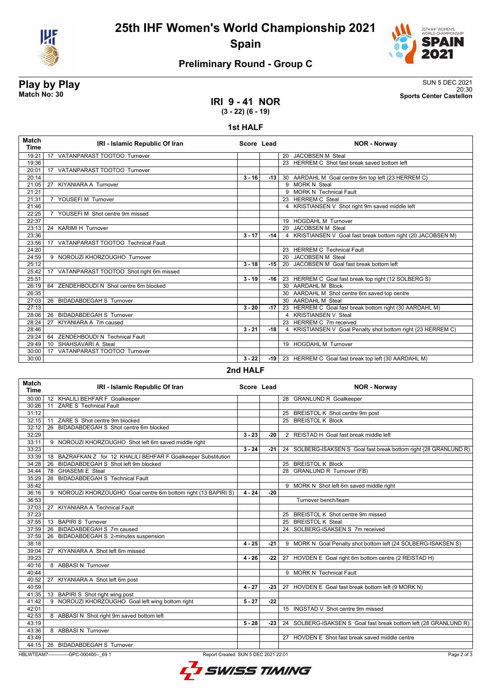



### **Preliminary Round - Group C**

**IRI 9 - 41 NOR**

**Play by Play**<br>Match No: 30<br>Sports Center Castellon 20:30 **Match No: 30 Sports Center Castellon**

**(3 - 22) (6 - 19)**

### **1st HALF**

| <b>Match</b><br><b>Time</b> | IRI - Islamic Republic Of Iran                    | Score Lead |       | <b>NOR - Norway</b>                                          |
|-----------------------------|---------------------------------------------------|------------|-------|--------------------------------------------------------------|
| 19:21                       | VATANPARAST TOOTOO Turnover<br>17                 |            |       | 20 JACOBSEN M Steal                                          |
| 19:36                       |                                                   |            |       | 23 HERREM C Shot fast break saved bottom left                |
| 20:01                       | 17 VATANPARAST TOOTOO Turnover                    |            |       |                                                              |
| 20:14                       |                                                   | $3 - 16$   | -13 l | 30 AARDAHL M Goal centre 6m top left (23 HERREM C)           |
| 21:05                       | <b>KIYANIARA A Turnover</b><br>27                 |            |       | 9 MORK N Steal                                               |
| 21:21                       |                                                   |            |       | 9 MORK N Technical Fault                                     |
| 21:31                       | 7 YOUSEFIM Turnover                               |            |       | 23 HERREM C Steal                                            |
| 21:46                       |                                                   |            |       | 4 KRISTIANSEN V Shot right 9m saved middle left              |
| 22:25                       | YOUSEFI M Shot centre 9m missed<br>$\overline{7}$ |            |       |                                                              |
| 22:37                       |                                                   |            |       | 19 HOGDAHL M Turnover                                        |
| 23:13                       | 24 KARIMI H Turnover                              |            |       | 20 JACOBSEN M Steal                                          |
| 23:36                       |                                                   | $3 - 17$   | $-14$ | 4 KRISTIANSEN V Goal fast break bottom right (20 JACOBSEN M) |
| 23:56                       | VATANPARAST TOOTOO Technical Fault<br>17          |            |       |                                                              |
| 24:20                       |                                                   |            |       | 23 HERREM C Technical Fault                                  |
| 24:59                       | 9 NOROUZI KHORZOUGHO Turnover                     |            |       | 20 JACOBSEN M Steal                                          |
| 25:12                       |                                                   | $3 - 18$   | $-15$ | 20 JACOBSEN M Goal fast break bottom left                    |
| 25:42                       | 17 VATANPARAST TOOTOO Shot right 6m missed        |            |       |                                                              |
| 25:51                       |                                                   | $3 - 19$   | -16 l | 23 HERREM C Goal fast break top right (12 SOLBERG S)         |
| 26:19                       | 64 ZENDEHBOUDI N Shot centre 6m blocked           |            |       | 30 AARDAHL M Block                                           |
| 26:35                       |                                                   |            |       | 30 AARDAHL M Shot centre 6m saved top centre                 |
| 27:03                       | 26 BIDADABDEGAH S Turnover                        |            |       | 30 AARDAHL M Steal                                           |
| 27:13                       |                                                   | $3 - 20$   | -17 l | 23 HERREM C Goal fast break bottom right (30 AARDAHL M)      |
| 28:06                       | 26 BIDADABDEGAH S Turnover                        |            |       | 4 KRISTIANSEN V Steal                                        |
| 28:24                       | KIYANIARA A 7m caused<br>27                       |            |       | 23 HERREM C 7m received                                      |
| 28:46                       |                                                   | $3 - 21$   | $-18$ | 4 KRISTIANSEN V Goal Penalty shot bottom right (23 HERREM C) |
| 29:24                       | ZENDEHBOUDI N Technical Fault<br>64               |            |       |                                                              |
| 29:49                       | SHAHSAVARI A Steal<br>10 <sup>1</sup>             |            |       | 19 HOGDAHL M Turnover                                        |
| 30:00                       | VATANPARAST TOOTOO Turnover<br>17                 |            |       |                                                              |
| 30:00                       |                                                   | $3 - 22$   |       | -19   23 HERREM C Goal fast break top left (30 AARDAHL M)    |

### **2nd HALF**

| <b>Match</b><br><b>Time</b> | IRI - Islamic Republic Of Iran                                                                 | Score Lead |       | <b>NOR - Norway</b>                                               |  |
|-----------------------------|------------------------------------------------------------------------------------------------|------------|-------|-------------------------------------------------------------------|--|
| 30:00                       | 12 KHALILI BEHFAR F Goalkeeper                                                                 |            |       | 28 GRANLUND R Goalkeeper                                          |  |
| 30:26                       | 11 ZARE S Technical Fault                                                                      |            |       |                                                                   |  |
| 31:12                       |                                                                                                |            |       | 25 BREISTOL K Shot centre 9m post                                 |  |
| 32:15                       | 11 ZARE S Shot centre 9m blocked                                                               |            |       | 25 BREISTOL K Block                                               |  |
| 32:12                       | 26 BIDADABDEGAH S Shot centre 6m blocked                                                       |            |       |                                                                   |  |
| 32:29                       |                                                                                                | $3 - 23$   | $-20$ | 2 REISTAD H Goal fast break middle left                           |  |
| 33:11                       | 9 NOROUZI KHORZOUGHO Shot left 6m saved middle right                                           |            |       |                                                                   |  |
| 33:23                       |                                                                                                | $3 - 24$   | -21   | 24 SOLBERG-ISAKSEN S Goal fast break bottom right (28 GRANLUND R) |  |
| 33:39                       | 18 BAZRAFKAN Z for 12 KHALILI BEHFAR F Goalkeeper Substitution                                 |            |       |                                                                   |  |
| 34:28                       | BIDADABDEGAH S Shot left 9m blocked<br>26                                                      |            |       | 25 BREISTOL K Block                                               |  |
| 34:44                       | 78 GHASEMI E Steal                                                                             |            |       | 28 GRANLUND R Turnover (FB)                                       |  |
| 35:29                       | <b>BIDADABDEGAH S Technical Fault</b><br>26                                                    |            |       |                                                                   |  |
| 35:42                       |                                                                                                |            |       | 9 MORK N Shot left 6m saved middle right                          |  |
| 36:16                       | 9 NOROUZI KHORZOUGHO Goal centre 6m bottom right (13 BAPIRI S)                                 | $4 - 24$   | $-20$ |                                                                   |  |
| 36:53                       |                                                                                                |            |       | Turnover bench/team                                               |  |
| 37:03                       | 27 KIYANIARA A Technical Fault                                                                 |            |       |                                                                   |  |
| 37:23                       |                                                                                                |            |       | 25 BREISTOL K Shot centre 9m missed                               |  |
| 37:55                       | 13 BAPIRI S Turnover                                                                           |            |       | 25 BREISTOL K Steal                                               |  |
| 37:59                       | 26 BIDADABDEGAH S 7m caused                                                                    |            |       | 24 SOLBERG-ISAKSEN S 7m received                                  |  |
| 37:59                       | 26 BIDADABDEGAH S 2-minutes suspension                                                         |            |       |                                                                   |  |
| 38:18                       |                                                                                                | $4 - 25$   | -21   | 9 MORK N Goal Penalty shot bottom left (24 SOLBERG-ISAKSEN S)     |  |
| 39:04                       | KIYANIARA A Shot left 6m missed<br>27                                                          |            |       |                                                                   |  |
| 39:23                       |                                                                                                | $4 - 26$   | $-22$ | 27 HOVDEN E Goal right 6m bottom centre (2 REISTAD H)             |  |
| 40:16                       | 8 ABBASIN Turnover                                                                             |            |       |                                                                   |  |
| 40:44                       |                                                                                                |            |       | 9 MORK N Technical Fault                                          |  |
| 40:52                       | 27 KIYANIARA A Shot left 6m post                                                               |            |       |                                                                   |  |
| 40:59                       |                                                                                                | $4 - 27$   | $-23$ | 27 HOVDEN E Goal fast break bottom left (9 MORK N)                |  |
| 41:35                       | 13 BAPIRIS Shot right wing post                                                                |            |       |                                                                   |  |
| 41:42                       | 9 NOROUZI KHORZOUGHO Goal left wing bottom right                                               | $5 - 27$   | $-22$ |                                                                   |  |
| 42:01                       |                                                                                                |            |       | 15 INGSTAD V Shot centre 9m missed                                |  |
| 42:53                       | 8 ABBASI N Shot right 9m saved bottom left                                                     |            |       |                                                                   |  |
| 43:19                       |                                                                                                | $5 - 28$   | $-23$ | 24 SOLBERG-ISAKSEN S Goal fast break bottom left (28 GRANLUND R)  |  |
| 43:36                       | 8 ABBASI N Turnover                                                                            |            |       |                                                                   |  |
| 43:49                       |                                                                                                |            |       | 27 HOVDEN E Shot fast break saved middle centre                   |  |
| 44:15                       | 26 BIDADABDEGAH S Turnover                                                                     |            |       |                                                                   |  |
|                             | HBLWTEAM7--------------GPC-000400-- 69 1<br>Page 2 of 3<br>Report Created SUN 5 DEC 2021 22:01 |            |       |                                                                   |  |